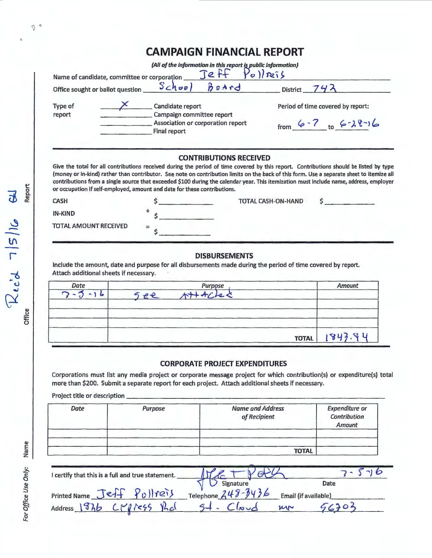|                                                                                                                                                                                 |                                                                       |                     | (All of the information in this report is public information)<br>Jeff Polleis |                           |                                                                                                                                                                                                                                                                                                                                                                                                                               |  |
|---------------------------------------------------------------------------------------------------------------------------------------------------------------------------------|-----------------------------------------------------------------------|---------------------|-------------------------------------------------------------------------------|---------------------------|-------------------------------------------------------------------------------------------------------------------------------------------------------------------------------------------------------------------------------------------------------------------------------------------------------------------------------------------------------------------------------------------------------------------------------|--|
| Name of candidate, committee or corporation                                                                                                                                     |                                                                       |                     |                                                                               |                           |                                                                                                                                                                                                                                                                                                                                                                                                                               |  |
| Office sought or ballot question                                                                                                                                                |                                                                       |                     | $Schov)$ $Bodrd$                                                              |                           | District $742$                                                                                                                                                                                                                                                                                                                                                                                                                |  |
| Type of<br>report                                                                                                                                                               | $\overline{\mathsf{X}}$ Candidate report<br>Campaign committee report |                     |                                                                               |                           | Period of time covered by report:                                                                                                                                                                                                                                                                                                                                                                                             |  |
|                                                                                                                                                                                 | Final report                                                          |                     | Association or corporation report                                             |                           | from $6 - 7$ to $6 - 28 - 16$                                                                                                                                                                                                                                                                                                                                                                                                 |  |
| or occupation if self-employed, amount and date for these contributions.                                                                                                        |                                                                       |                     | <b>CONTRIBUTIONS RECEIVED</b>                                                 |                           | Give the total for all contributions received during the period of time covered by this report. Contributions should be listed by type<br>(money or in-kind) rather than contributor. See note on contribution limits on the back of this form. Use a separate sheet to itemize all<br>contributions from a single source that exceeded \$100 during the calendar year. This itemization must include name, address, employer |  |
| <b>CASH</b>                                                                                                                                                                     |                                                                       | <u> Louis Coult</u> |                                                                               | <b>TOTAL CASH-ON-HAND</b> |                                                                                                                                                                                                                                                                                                                                                                                                                               |  |
| <b>IN-KIND</b>                                                                                                                                                                  |                                                                       |                     |                                                                               |                           |                                                                                                                                                                                                                                                                                                                                                                                                                               |  |
|                                                                                                                                                                                 |                                                                       |                     |                                                                               |                           |                                                                                                                                                                                                                                                                                                                                                                                                                               |  |
|                                                                                                                                                                                 |                                                                       |                     | <b>DISBURSEMENTS</b>                                                          |                           |                                                                                                                                                                                                                                                                                                                                                                                                                               |  |
|                                                                                                                                                                                 |                                                                       |                     |                                                                               |                           |                                                                                                                                                                                                                                                                                                                                                                                                                               |  |
| Date                                                                                                                                                                            |                                                                       |                     | <b>Purpose</b>                                                                |                           | Amount                                                                                                                                                                                                                                                                                                                                                                                                                        |  |
| $5 - 16$<br>$\sum$ $\sim$                                                                                                                                                       | 5ee                                                                   |                     |                                                                               |                           |                                                                                                                                                                                                                                                                                                                                                                                                                               |  |
| TOTAL AMOUNT RECEIVED<br>include the amount, date and purpose for all disbursements made during the period of time covered by report.<br>Attach additional sheets if necessary. |                                                                       |                     |                                                                               | <b>TOTAL</b>              | 1843                                                                                                                                                                                                                                                                                                                                                                                                                          |  |

| I certify that this is a full and true statement. |                                               |                      |
|---------------------------------------------------|-----------------------------------------------|----------------------|
|                                                   |                                               | Date                 |
| Printed Name Jeff Pullreis                        | $\bigvee$ Signature<br>Telephone $248 - 3436$ | Email (if available) |
| 's cratess that<br>Address 1976                   | $10 - 6$                                      | MN                   |

 $Re^{\prime}$  7/5/16  $H$ 

 $\sqrt[3]{\phantom{a}}^{\phantom{a}}$ 

For Office Use Only: Name